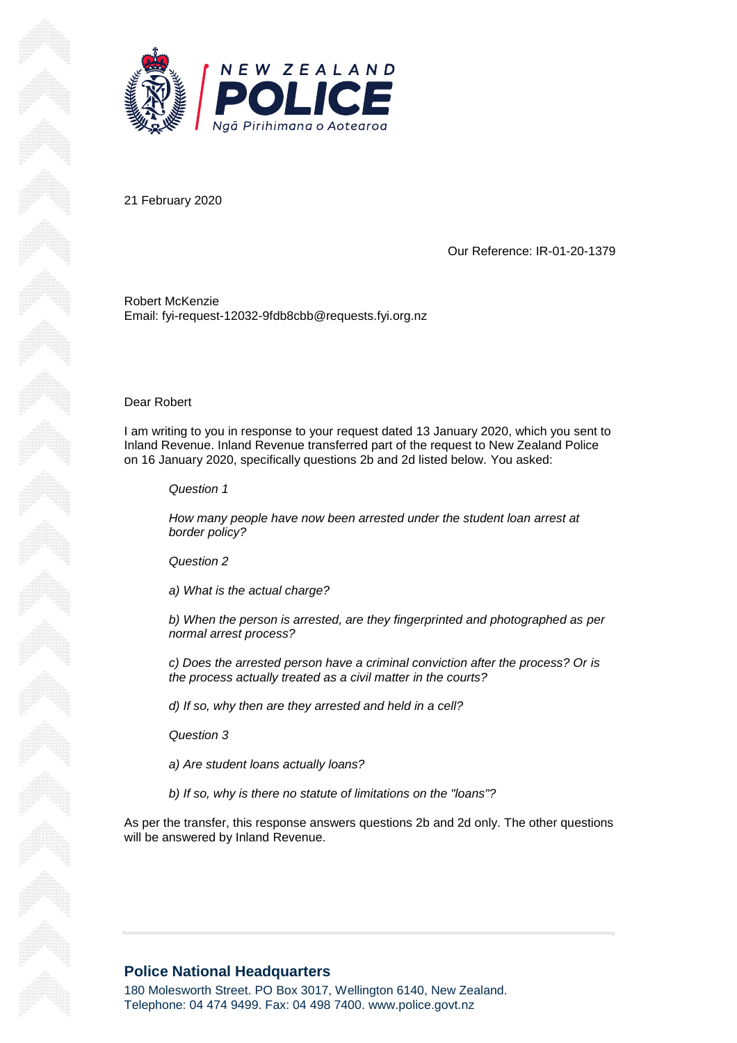

21 February 2020

Our Reference: IR-01-20-1379

Robert McKenzie Email: fyi-request-12032-9fdb8cbb@requests.fyi.org.nz

Dear Robert

I am writing to you in response to your request dated 13 January 2020, which you sent to Inland Revenue. Inland Revenue transferred part of the request to New Zealand Police on 16 January 2020, specifically questions 2b and 2d listed below. You asked:

*Question 1*

*How many people have now been arrested under the student loan arrest at border policy?*

*Question 2*

*a) What is the actual charge?*

*b) When the person is arrested, are they fingerprinted and photographed as per normal arrest process?*

*c) Does the arrested person have a criminal conviction after the process? Or is the process actually treated as a civil matter in the courts?*

*d) If so, why then are they arrested and held in a cell?*

*Question 3*

*a) Are student loans actually loans?*

*b) If so, why is there no statute of limitations on the "loans"?*

As per the transfer, this response answers questions 2b and 2d only. The other questions will be answered by Inland Revenue.

## **Police National Headquarters**

180 Molesworth Street. PO Box 3017, Wellington 6140, New Zealand. Telephone: 04 474 9499. Fax: 04 498 7400. www.police.govt.nz